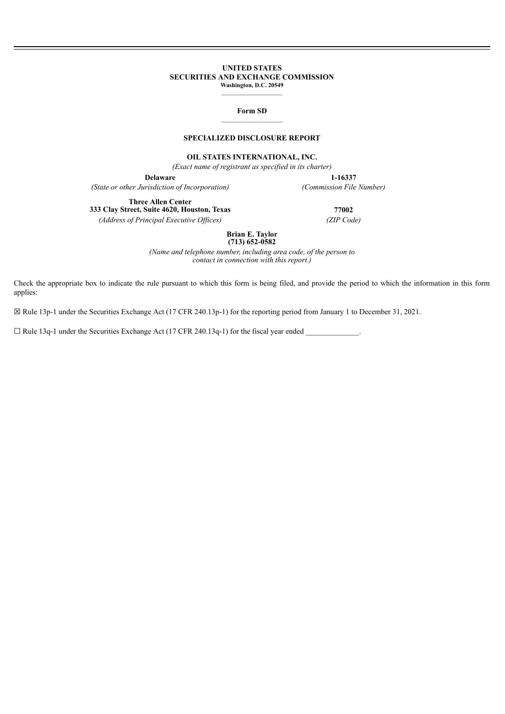#### **UNITED STATES SECURITIES AND EXCHANGE COMMISSION Washington, D.C. 20549**

 $\mathcal{L}_\text{max}$ 

#### **Form SD**  $\mathcal{L}_\text{max}$

# **SPECIALIZED DISCLOSURE REPORT**

**OIL STATES INTERNATIONAL, INC.**

*(Exact name of registrant as specified in its charter)*

*(State or other Jurisdiction of Incorporation) (Commission File Number)*

**Delaware 1-16337**

**Three Allen Center 333 Clay Street, Suite 4620, Houston, Texas 77002**

*(Address of Principal Executive Of ices) (ZIP Code)*

**Brian E. Taylor**

**(713) 652-0582**

*(Name and telephone number, including area code, of the person to contact in connection with this report.)*

Check the appropriate box to indicate the rule pursuant to which this form is being filed, and provide the period to which the information in this form applies:

☒ Rule 13p-1 under the Securities Exchange Act (17 CFR 240.13p-1) for the reporting period from January 1 to December 31, 2021.

 $\Box$  Rule 13q-1 under the Securities Exchange Act (17 CFR 240.13q-1) for the fiscal year ended  $\Box$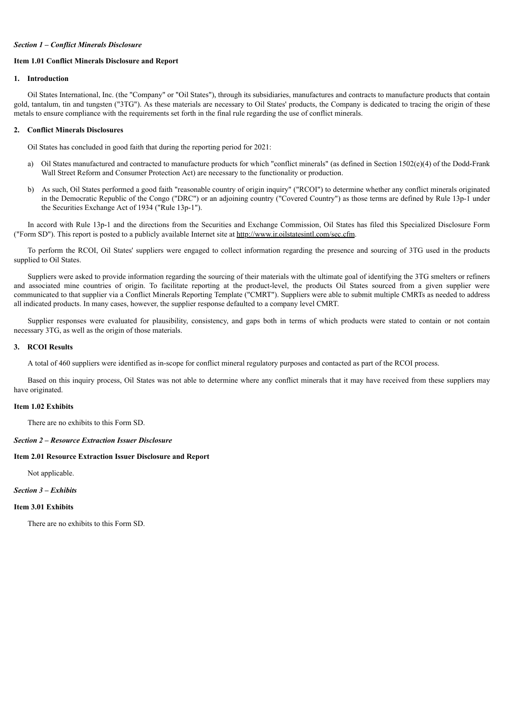#### *Section 1 – Conflict Minerals Disclosure*

#### **Item 1.01 Conflict Minerals Disclosure and Report**

# **1. Introduction**

Oil States International, Inc. (the "Company" or "Oil States"), through its subsidiaries, manufactures and contracts to manufacture products that contain gold, tantalum, tin and tungsten ("3TG"). As these materials are necessary to Oil States' products, the Company is dedicated to tracing the origin of these metals to ensure compliance with the requirements set forth in the final rule regarding the use of conflict minerals.

#### **2. Conflict Minerals Disclosures**

Oil States has concluded in good faith that during the reporting period for 2021:

- a) Oil States manufactured and contracted to manufacture products for which "conflict minerals" (as defined in Section 1502(e)(4) of the Dodd-Frank Wall Street Reform and Consumer Protection Act) are necessary to the functionality or production.
- b) As such, Oil States performed a good faith "reasonable country of origin inquiry" ("RCOI") to determine whether any conflict minerals originated in the Democratic Republic of the Congo ("DRC") or an adjoining country ("Covered Country") as those terms are defined by Rule 13p-1 under the Securities Exchange Act of 1934 ("Rule 13p-1").

In accord with Rule 13p-1 and the directions from the Securities and Exchange Commission, Oil States has filed this Specialized Disclosure Form ("Form SD"). This report is posted to a publicly available Internet site at http://www.ir.oilstatesintl.com/sec.cfm.

To perform the RCOI, Oil States' suppliers were engaged to collect information regarding the presence and sourcing of 3TG used in the products supplied to Oil States.

Suppliers were asked to provide information regarding the sourcing of their materials with the ultimate goal of identifying the 3TG smelters or refiners and associated mine countries of origin. To facilitate reporting at the product-level, the products Oil States sourced from a given supplier were communicated to that supplier via a Conflict Minerals Reporting Template ("CMRT"). Suppliers were able to submit multiple CMRTs as needed to address all indicated products. In many cases, however, the supplier response defaulted to a company level CMRT.

Supplier responses were evaluated for plausibility, consistency, and gaps both in terms of which products were stated to contain or not contain necessary 3TG, as well as the origin of those materials.

#### **3. RCOI Results**

A total of 460 suppliers were identified as in-scope for conflict mineral regulatory purposes and contacted as part of the RCOI process.

Based on this inquiry process, Oil States was not able to determine where any conflict minerals that it may have received from these suppliers may have originated.

### **Item 1.02 Exhibits**

There are no exhibits to this Form SD.

# *Section 2 – Resource Extraction Issuer Disclosure*

## **Item 2.01 Resource Extraction Issuer Disclosure and Report**

Not applicable.

## *Section 3 – Exhibits*

#### **Item 3.01 Exhibits**

There are no exhibits to this Form SD.